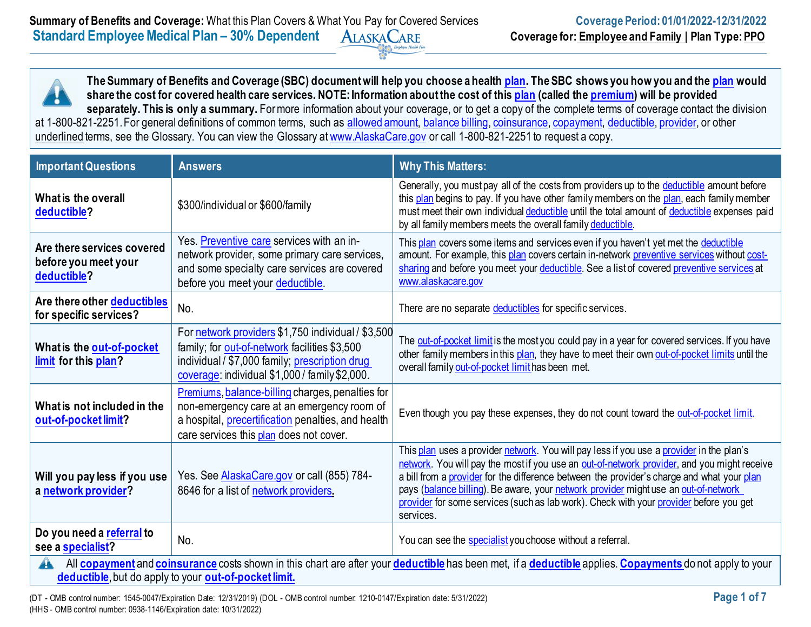**The Summary of Benefits and Coverage (SBC) document will help you choose a health [plan.](https://www.healthcare.gov/sbc-glossary/#plan) The SBC shows you how you and the [plan](https://www.healthcare.gov/sbc-glossary/#plan) would share the cost for covered health care services. NOTE: Information about the cost of this [plan](https://www.healthcare.gov/sbc-glossary/#plan) (called the [premium\)](https://www.healthcare.gov/sbc-glossary/#premium) will be provided**  separately. This is only a summary. For more information about your coverage, or to get a copy of the complete terms of coverage contact the division at 1-800-821-2251. For general definitions of common terms, such as [allowed amount,](https://www.healthcare.gov/sbc-glossary/#allowed-amount) [balance billing,](https://www.healthcare.gov/sbc-glossary/#balance-billing) [coinsurance,](https://www.healthcare.gov/sbc-glossary/#coinsurance) [copayment,](https://www.healthcare.gov/sbc-glossary/#copayment) [deductible,](https://www.healthcare.gov/sbc-glossary/#deductible) [provider,](https://www.healthcare.gov/sbc-glossary/#provider) or other underlined terms, see the Glossary. You can view the Glossary at [www.AlaskaCare.gov](http://www.alaskacare.gov/) or call 1-800-821-2251 to request a copy.

| <b>Important Questions</b>                                                                                                                                    | <b>Answers</b>                                                                                                                                                                                          | <b>Why This Matters:</b>                                                                                                                                                                                                                                                                                                                                                                                                                                                            |  |
|---------------------------------------------------------------------------------------------------------------------------------------------------------------|---------------------------------------------------------------------------------------------------------------------------------------------------------------------------------------------------------|-------------------------------------------------------------------------------------------------------------------------------------------------------------------------------------------------------------------------------------------------------------------------------------------------------------------------------------------------------------------------------------------------------------------------------------------------------------------------------------|--|
| What is the overall<br>deductible?                                                                                                                            | \$300/individual or \$600/family                                                                                                                                                                        | Generally, you must pay all of the costs from providers up to the deductible amount before<br>this plan begins to pay. If you have other family members on the plan, each family member<br>must meet their own individual deductible until the total amount of deductible expenses paid<br>by all family members meets the overall family deductible.                                                                                                                               |  |
| Are there services covered<br>before you meet your<br>deductible?                                                                                             | Yes. Preventive care services with an in-<br>network provider, some primary care services,<br>and some specialty care services are covered<br>before you meet your deductible.                          | This plan covers some items and services even if you haven't yet met the deductible<br>amount. For example, this plan covers certain in-network preventive services without cost-<br>sharing and before you meet your deductible. See a list of covered preventive services at<br>www.alaskacare.gov                                                                                                                                                                                |  |
| Are there other deductibles<br>for specific services?                                                                                                         | No.                                                                                                                                                                                                     | There are no separate deductibles for specific services.                                                                                                                                                                                                                                                                                                                                                                                                                            |  |
| What is the out-of-pocket<br>limit for this plan?                                                                                                             | For network providers \$1,750 individual / \$3,500<br>family; for out-of-network facilities \$3,500<br>individual / \$7,000 family; prescription drug<br>coverage: individual \$1,000 / family \$2,000. | The out-of-pocket limit is the most you could pay in a year for covered services. If you have<br>other family members in this plan, they have to meet their own out-of-pocket limits until the<br>overall family out-of-pocket limit has been met.                                                                                                                                                                                                                                  |  |
| What is not included in the<br>out-of-pocket limit?                                                                                                           | Premiums, balance-billing charges, penalties for<br>non-emergency care at an emergency room of<br>a hospital, <i>precertification</i> penalties, and health<br>care services this plan does not cover.  | Even though you pay these expenses, they do not count toward the out-of-pocket limit.                                                                                                                                                                                                                                                                                                                                                                                               |  |
| Will you pay less if you use<br>a network provider?                                                                                                           | Yes. See <b>AlaskaCare.gov</b> or call (855) 784-<br>8646 for a list of network providers.                                                                                                              | This plan uses a provider network. You will pay less if you use a provider in the plan's<br>network. You will pay the most if you use an out-of-network provider, and you might receive<br>a bill from a provider for the difference between the provider's charge and what your plan<br>pays (balance billing). Be aware, your network provider might use an out-of-network<br>provider for some services (such as lab work). Check with your provider before you get<br>services. |  |
| Do you need a referral to<br>see a specialist?                                                                                                                | No.                                                                                                                                                                                                     | You can see the specialist you choose without a referral.                                                                                                                                                                                                                                                                                                                                                                                                                           |  |
| All copayment and coinsurance costs shown in this chart are after your deductible has been met, if a deductible applies. Copayments do not apply to your<br>A |                                                                                                                                                                                                         |                                                                                                                                                                                                                                                                                                                                                                                                                                                                                     |  |

**[deductible](https://www.healthcare.gov/sbc-glossary/#deductible)**, but do apply to your **[out-of-pocket limit.](https://www.healthcare.gov/sbc-glossary/#out-of-pocket-limit)**

(DT - OMB control number: 1545-0047/Expiration Date: 12/31/2019) (DOL - OMB control number: 1210-0147/Expiration date: 5/31/2022) **Page 1 of 7** (HHS - OMB control number: 0938-1146/Expiration date: 10/31/2022)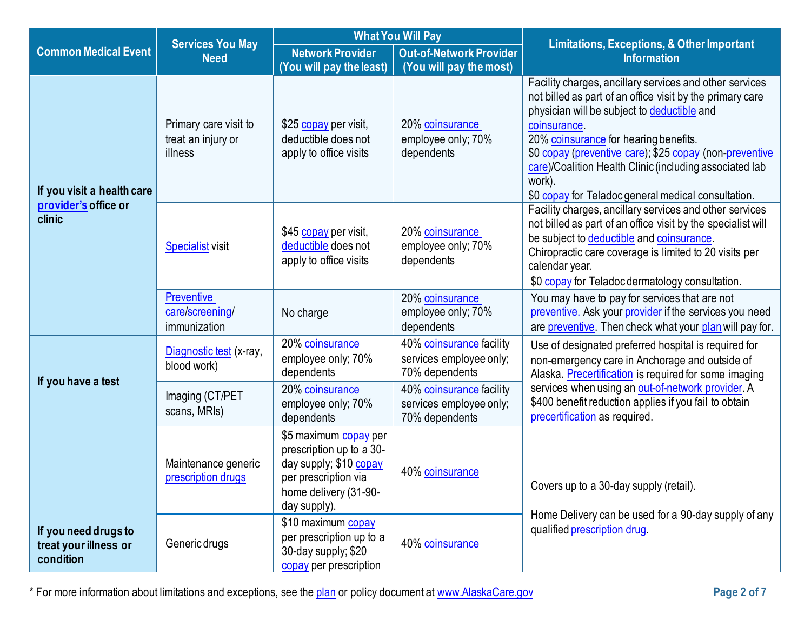|                                                            | <b>Services You May</b>                                | <b>What You Will Pay</b>                                                                                                                     |                                                                       | <b>Limitations, Exceptions, &amp; Other Important</b>                                                                                                                                                                                                                                                                                                                                                               |  |
|------------------------------------------------------------|--------------------------------------------------------|----------------------------------------------------------------------------------------------------------------------------------------------|-----------------------------------------------------------------------|---------------------------------------------------------------------------------------------------------------------------------------------------------------------------------------------------------------------------------------------------------------------------------------------------------------------------------------------------------------------------------------------------------------------|--|
| <b>Common Medical Event</b>                                | <b>Need</b>                                            | <b>Network Provider</b>                                                                                                                      | <b>Out-of-Network Provider</b>                                        | <b>Information</b>                                                                                                                                                                                                                                                                                                                                                                                                  |  |
|                                                            |                                                        | (You will pay the least)                                                                                                                     | (You will pay the most)                                               |                                                                                                                                                                                                                                                                                                                                                                                                                     |  |
| If you visit a health care                                 | Primary care visit to<br>treat an injury or<br>illness | \$25 copay per visit,<br>deductible does not<br>apply to office visits                                                                       | 20% coinsurance<br>employee only; 70%<br>dependents                   | Facility charges, ancillary services and other services<br>not billed as part of an office visit by the primary care<br>physician will be subject to deductible and<br>coinsurance.<br>20% coinsurance for hearing benefits.<br>\$0 copay (preventive care); \$25 copay (non-preventive<br>care)/Coalition Health Clinic (including associated lab<br>work).<br>\$0 copay for Teladoc general medical consultation. |  |
| provider's office or<br>clinic                             | <b>Specialist visit</b>                                | \$45 copay per visit,<br>deductible does not<br>apply to office visits                                                                       | 20% coinsurance<br>employee only; 70%<br>dependents                   | Facility charges, ancillary services and other services<br>not billed as part of an office visit by the specialist will<br>be subject to deductible and coinsurance.<br>Chiropractic care coverage is limited to 20 visits per<br>calendar year.<br>\$0 copay for Teladoc dermatology consultation.                                                                                                                 |  |
|                                                            | <b>Preventive</b><br>care/screening/<br>immunization   | No charge                                                                                                                                    | 20% coinsurance<br>employee only; 70%<br>dependents                   | You may have to pay for services that are not<br>preventive. Ask your provider if the services you need<br>are preventive. Then check what your plan will pay for.                                                                                                                                                                                                                                                  |  |
| If you have a test                                         | Diagnostic test (x-ray,<br>blood work)                 | 20% coinsurance<br>employee only; 70%<br>dependents                                                                                          | 40% coinsurance facility<br>services employee only;<br>70% dependents | Use of designated preferred hospital is required for<br>non-emergency care in Anchorage and outside of<br>Alaska. Precertification is required for some imaging                                                                                                                                                                                                                                                     |  |
|                                                            | Imaging (CT/PET<br>scans, MRIs)                        | 20% coinsurance<br>employee only; 70%<br>dependents                                                                                          | 40% coinsurance facility<br>services employee only;<br>70% dependents | services when using an out-of-network provider. A<br>\$400 benefit reduction applies if you fail to obtain<br>precertification as required.                                                                                                                                                                                                                                                                         |  |
|                                                            | Maintenance generic<br>prescription drugs              | \$5 maximum copay per<br>prescription up to a 30-<br>day supply; \$10 copay<br>per prescription via<br>home delivery (31-90-<br>day supply). | 40% coinsurance                                                       | Covers up to a 30-day supply (retail).<br>Home Delivery can be used for a 90-day supply of any                                                                                                                                                                                                                                                                                                                      |  |
| If you need drugs to<br>treat your illness or<br>condition | Generic drugs                                          | \$10 maximum copay<br>per prescription up to a<br>30-day supply; \$20<br>copay per prescription                                              | 40% coinsurance                                                       | qualified prescription drug.                                                                                                                                                                                                                                                                                                                                                                                        |  |

\* For more information about limitations and exceptions, see the [plan](https://www.healthcare.gov/sbc-glossary/#plan) or policy document at [www.AlaskaCare.gov](http://www.alaskacare.gov/) **Page 2 of 7**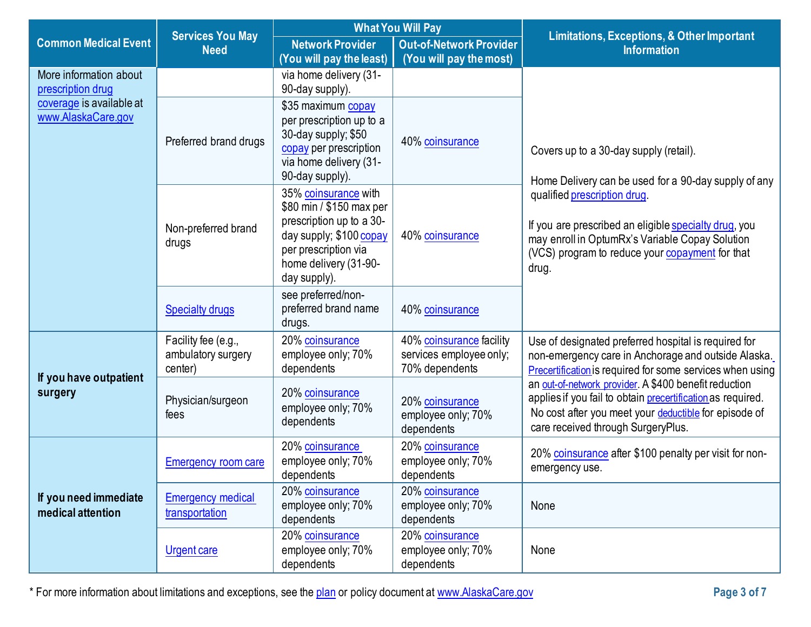|                                            | <b>Services You May</b>                              | <b>What You Will Pay</b>                                                                                             |                                                                       | <b>Limitations, Exceptions, &amp; Other Important</b>                                                                                                                                                               |  |
|--------------------------------------------|------------------------------------------------------|----------------------------------------------------------------------------------------------------------------------|-----------------------------------------------------------------------|---------------------------------------------------------------------------------------------------------------------------------------------------------------------------------------------------------------------|--|
| <b>Common Medical Event</b>                | <b>Need</b>                                          | <b>Network Provider</b>                                                                                              | <b>Out-of-Network Provider</b>                                        | <b>Information</b>                                                                                                                                                                                                  |  |
|                                            |                                                      | (You will pay the least)                                                                                             | (You will pay the most)                                               |                                                                                                                                                                                                                     |  |
| More information about                     |                                                      | via home delivery (31-                                                                                               |                                                                       |                                                                                                                                                                                                                     |  |
| prescription drug                          |                                                      | 90-day supply).                                                                                                      |                                                                       |                                                                                                                                                                                                                     |  |
| coverage is available at                   |                                                      | \$35 maximum copay                                                                                                   |                                                                       |                                                                                                                                                                                                                     |  |
| www.AlaskaCare.gov                         |                                                      | per prescription up to a<br>30-day supply; \$50                                                                      |                                                                       |                                                                                                                                                                                                                     |  |
|                                            | Preferred brand drugs                                | copay per prescription<br>via home delivery (31-<br>90-day supply).                                                  | 40% coinsurance                                                       | Covers up to a 30-day supply (retail).<br>Home Delivery can be used for a 90-day supply of any                                                                                                                      |  |
|                                            |                                                      | 35% coinsurance with<br>\$80 min / \$150 max per                                                                     |                                                                       | qualified prescription drug.                                                                                                                                                                                        |  |
|                                            | Non-preferred brand<br>drugs                         | prescription up to a 30-<br>day supply; \$100 copay<br>per prescription via<br>home delivery (31-90-<br>day supply). | 40% coinsurance                                                       | If you are prescribed an eligible specialty drug, you<br>may enroll in OptumRx's Variable Copay Solution<br>(VCS) program to reduce your copayment for that<br>drug.                                                |  |
|                                            | <b>Specialty drugs</b>                               | see preferred/non-<br>preferred brand name<br>drugs.                                                                 | 40% coinsurance                                                       |                                                                                                                                                                                                                     |  |
|                                            | Facility fee (e.g.,<br>ambulatory surgery<br>center) | 20% coinsurance<br>employee only; 70%<br>dependents                                                                  | 40% coinsurance facility<br>services employee only;<br>70% dependents | Use of designated preferred hospital is required for<br>non-emergency care in Anchorage and outside Alaska.<br>Precertification is required for some services when using                                            |  |
| If you have outpatient<br>surgery          | Physician/surgeon<br>fees                            | 20% coinsurance<br>employee only; 70%<br>dependents                                                                  | 20% coinsurance<br>employee only; 70%<br>dependents                   | an out-of-network provider. A \$400 benefit reduction<br>applies if you fail to obtain precertification as required.<br>No cost after you meet your deductible for episode of<br>care received through SurgeryPlus. |  |
|                                            | <b>Emergency room care</b>                           | 20% coinsurance<br>employee only; 70%<br>dependents                                                                  | 20% coinsurance<br>employee only; 70%<br>dependents                   | 20% coinsurance after \$100 penalty per visit for non-<br>emergency use.                                                                                                                                            |  |
| If you need immediate<br>medical attention | <b>Emergency medical</b><br>transportation           | 20% coinsurance<br>employee only; 70%<br>dependents                                                                  | 20% coinsurance<br>employee only; 70%<br>dependents                   | None                                                                                                                                                                                                                |  |
|                                            | <b>Urgent care</b>                                   | 20% coinsurance<br>employee only; 70%<br>dependents                                                                  | 20% coinsurance<br>employee only; 70%<br>dependents                   | None                                                                                                                                                                                                                |  |

\* For more information about limitations and exceptions, see the [plan](https://www.healthcare.gov/sbc-glossary/#plan) or policy document at [www.AlaskaCare.gov](http://www.alaskacare.gov/) **Page 3 of 7**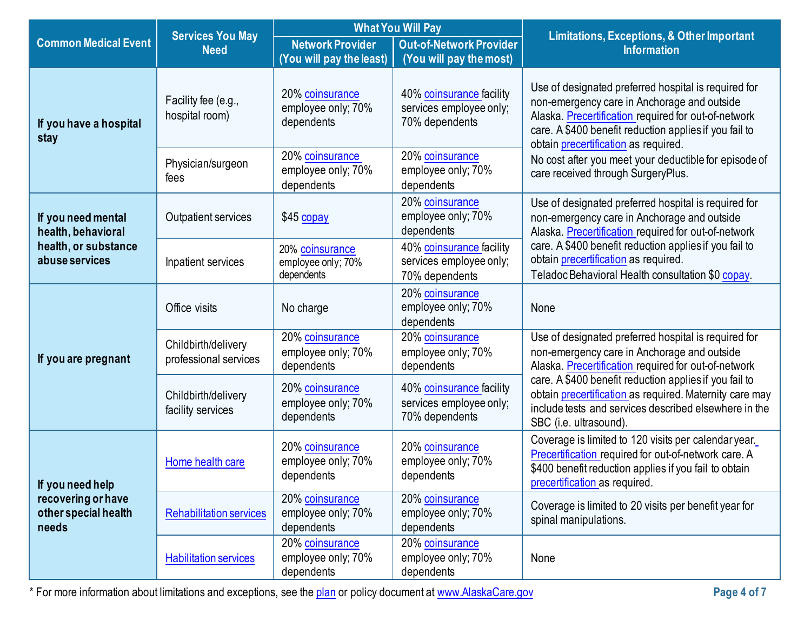|                                                                         | <b>Services You May</b>                      | <b>What You Will Pay</b>                            |                                                                       | <b>Limitations, Exceptions, &amp; Other Important</b>                                                                                                                                                                                                                |  |
|-------------------------------------------------------------------------|----------------------------------------------|-----------------------------------------------------|-----------------------------------------------------------------------|----------------------------------------------------------------------------------------------------------------------------------------------------------------------------------------------------------------------------------------------------------------------|--|
| <b>Common Medical Event</b>                                             | <b>Need</b>                                  | <b>Network Provider</b><br>(You will pay the least) | <b>Out-of-Network Provider</b><br>(You will pay the most)             | <b>Information</b>                                                                                                                                                                                                                                                   |  |
| If you have a hospital<br>stay                                          | Facility fee (e.g.,<br>hospital room)        | 20% coinsurance<br>employee only; 70%<br>dependents | 40% coinsurance facility<br>services employee only;<br>70% dependents | Use of designated preferred hospital is required for<br>non-emergency care in Anchorage and outside<br>Alaska. Precertification required for out-of-network<br>care. A \$400 benefit reduction applies if you fail to<br>obtain <i>precertification</i> as required. |  |
|                                                                         | Physician/surgeon<br>fees                    | 20% coinsurance<br>employee only; 70%<br>dependents | 20% coinsurance<br>employee only; 70%<br>dependents                   | No cost after you meet your deductible for episode of<br>care received through SurgeryPlus.                                                                                                                                                                          |  |
| If you need mental<br>health, behavioral                                | Outpatient services                          | \$45 copay                                          | 20% coinsurance<br>employee only; 70%<br>dependents                   | Use of designated preferred hospital is required for<br>non-emergency care in Anchorage and outside<br>Alaska. Precertification required for out-of-network                                                                                                          |  |
| health, or substance<br>abuse services                                  | Inpatient services                           | 20% coinsurance<br>employee only; 70%<br>dependents | 40% coinsurance facility<br>services employee only;<br>70% dependents | care. A \$400 benefit reduction applies if you fail to<br>obtain precertification as required.<br>Teladoc Behavioral Health consultation \$0 copay.                                                                                                                  |  |
| If you are pregnant                                                     | Office visits                                | No charge                                           | 20% coinsurance<br>employee only; 70%<br>dependents                   | None                                                                                                                                                                                                                                                                 |  |
|                                                                         | Childbirth/delivery<br>professional services | 20% coinsurance<br>employee only; 70%<br>dependents | 20% coinsurance<br>employee only; 70%<br>dependents                   | Use of designated preferred hospital is required for<br>non-emergency care in Anchorage and outside<br>Alaska. Precertification required for out-of-network                                                                                                          |  |
|                                                                         | Childbirth/delivery<br>facility services     | 20% coinsurance<br>employee only; 70%<br>dependents | 40% coinsurance facility<br>services employee only;<br>70% dependents | care. A \$400 benefit reduction applies if you fail to<br>obtain precertification as required. Maternity care may<br>include tests and services described elsewhere in the<br>SBC (i.e. ultrasound).                                                                 |  |
| If you need help<br>recovering or have<br>other special health<br>needs | Home health care                             | 20% coinsurance<br>employee only; 70%<br>dependents | 20% coinsurance<br>employee only; 70%<br>dependents                   | Coverage is limited to 120 visits per calendar year.<br>Precertification required for out-of-network care. A<br>\$400 benefit reduction applies if you fail to obtain<br>precertification as required.                                                               |  |
|                                                                         | <b>Rehabilitation services</b>               | 20% coinsurance<br>employee only; 70%<br>dependents | 20% coinsurance<br>employee only; 70%<br>dependents                   | Coverage is limited to 20 visits per benefit year for<br>spinal manipulations.                                                                                                                                                                                       |  |
|                                                                         | <b>Habilitation services</b>                 | 20% coinsurance<br>employee only; 70%<br>dependents | 20% coinsurance<br>employee only; 70%<br>dependents                   | None                                                                                                                                                                                                                                                                 |  |

\* For more information about limitations and exceptions, see the [plan](https://www.healthcare.gov/sbc-glossary/#plan) or policy document at [www.AlaskaCare.gov](http://www.alaskacare.gov/) **Page 4 of 7**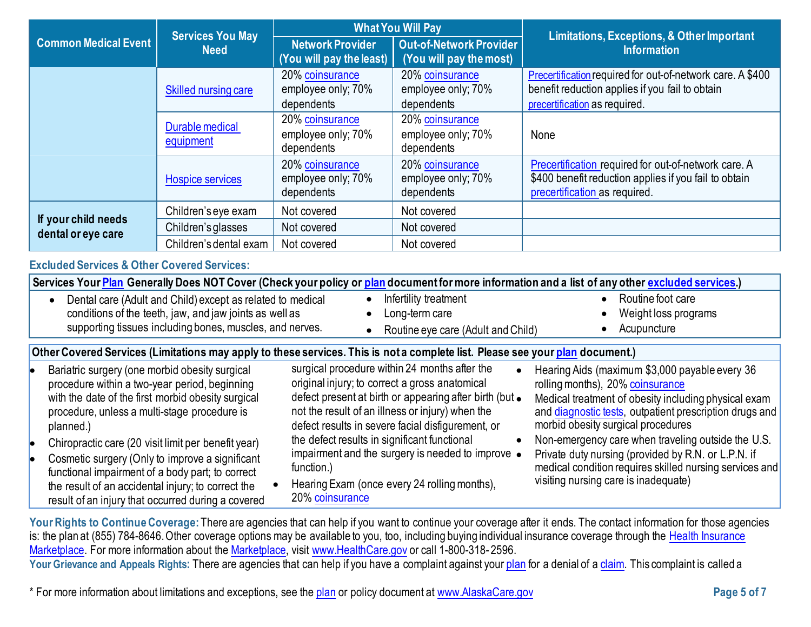|                                                                                                                                                                                                                                                                                                                                                                                                                                                                                                                                                                                                                                                                                                                                                                                                                                                                                                                                                                                                                                                                                                                                                                                                                                                                                                                                                                                  | <b>Services You May</b><br><b>Need</b> | <b>What You Will Pay</b>                            |                                                                                                                               |                                                                                                                                                  |
|----------------------------------------------------------------------------------------------------------------------------------------------------------------------------------------------------------------------------------------------------------------------------------------------------------------------------------------------------------------------------------------------------------------------------------------------------------------------------------------------------------------------------------------------------------------------------------------------------------------------------------------------------------------------------------------------------------------------------------------------------------------------------------------------------------------------------------------------------------------------------------------------------------------------------------------------------------------------------------------------------------------------------------------------------------------------------------------------------------------------------------------------------------------------------------------------------------------------------------------------------------------------------------------------------------------------------------------------------------------------------------|----------------------------------------|-----------------------------------------------------|-------------------------------------------------------------------------------------------------------------------------------|--------------------------------------------------------------------------------------------------------------------------------------------------|
| <b>Common Medical Event</b>                                                                                                                                                                                                                                                                                                                                                                                                                                                                                                                                                                                                                                                                                                                                                                                                                                                                                                                                                                                                                                                                                                                                                                                                                                                                                                                                                      |                                        | <b>Network Provider</b><br>(You will pay the least) | <b>Out-of-Network Provider</b><br>(You will pay the most)                                                                     | <b>Limitations, Exceptions, &amp; Other Important</b><br><b>Information</b>                                                                      |
|                                                                                                                                                                                                                                                                                                                                                                                                                                                                                                                                                                                                                                                                                                                                                                                                                                                                                                                                                                                                                                                                                                                                                                                                                                                                                                                                                                                  | Skilled nursing care                   | 20% coinsurance<br>employee only; 70%<br>dependents | 20% coinsurance<br>employee only; 70%<br>dependents                                                                           | Precertification required for out-of-network care. A \$400<br>benefit reduction applies if you fail to obtain<br>precertification as required.   |
|                                                                                                                                                                                                                                                                                                                                                                                                                                                                                                                                                                                                                                                                                                                                                                                                                                                                                                                                                                                                                                                                                                                                                                                                                                                                                                                                                                                  | Durable medical<br>equipment           | 20% coinsurance<br>employee only; 70%<br>dependents | 20% coinsurance<br>employee only; 70%<br>dependents                                                                           | None                                                                                                                                             |
|                                                                                                                                                                                                                                                                                                                                                                                                                                                                                                                                                                                                                                                                                                                                                                                                                                                                                                                                                                                                                                                                                                                                                                                                                                                                                                                                                                                  | <b>Hospice services</b>                | 20% coinsurance<br>employee only; 70%<br>dependents | 20% coinsurance<br>employee only; 70%<br>dependents                                                                           | Precertification required for out-of-network care. A<br>\$400 benefit reduction applies if you fail to obtain<br>precertification as required.   |
|                                                                                                                                                                                                                                                                                                                                                                                                                                                                                                                                                                                                                                                                                                                                                                                                                                                                                                                                                                                                                                                                                                                                                                                                                                                                                                                                                                                  | Children's eye exam                    | Not covered                                         | Not covered                                                                                                                   |                                                                                                                                                  |
| If your child needs<br>dental or eye care                                                                                                                                                                                                                                                                                                                                                                                                                                                                                                                                                                                                                                                                                                                                                                                                                                                                                                                                                                                                                                                                                                                                                                                                                                                                                                                                        | Children's glasses                     | Not covered                                         | Not covered                                                                                                                   |                                                                                                                                                  |
|                                                                                                                                                                                                                                                                                                                                                                                                                                                                                                                                                                                                                                                                                                                                                                                                                                                                                                                                                                                                                                                                                                                                                                                                                                                                                                                                                                                  | Children's dental exam                 | Not covered                                         | Not covered                                                                                                                   |                                                                                                                                                  |
| <b>Excluded Services &amp; Other Covered Services:</b>                                                                                                                                                                                                                                                                                                                                                                                                                                                                                                                                                                                                                                                                                                                                                                                                                                                                                                                                                                                                                                                                                                                                                                                                                                                                                                                           |                                        |                                                     |                                                                                                                               |                                                                                                                                                  |
|                                                                                                                                                                                                                                                                                                                                                                                                                                                                                                                                                                                                                                                                                                                                                                                                                                                                                                                                                                                                                                                                                                                                                                                                                                                                                                                                                                                  |                                        |                                                     |                                                                                                                               | Services Your Plan Generally Does NOT Cover (Check your policy or plan document for more information and a list of any other excluded services.) |
| Dental care (Adult and Child) except as related to medical<br>Routine foot care<br>Infertility treatment<br>$\bullet$<br>conditions of the teeth, jaw, and jaw joints as well as<br>Long-term care<br>Weight loss programs<br>supporting tissues including bones, muscles, and nerves.<br>Acupuncture<br>Routine eye care (Adult and Child)                                                                                                                                                                                                                                                                                                                                                                                                                                                                                                                                                                                                                                                                                                                                                                                                                                                                                                                                                                                                                                      |                                        |                                                     |                                                                                                                               |                                                                                                                                                  |
|                                                                                                                                                                                                                                                                                                                                                                                                                                                                                                                                                                                                                                                                                                                                                                                                                                                                                                                                                                                                                                                                                                                                                                                                                                                                                                                                                                                  |                                        |                                                     | Other Covered Services (Limitations may apply to these services. This is not a complete list. Please see your plan document.) |                                                                                                                                                  |
| surgical procedure within 24 months after the<br>Bariatric surgery (one morbid obesity surgical<br>Hearing Aids (maximum \$3,000 payable every 36<br>$\bullet$<br>original injury; to correct a gross anatomical<br>rolling months), 20% coinsurance<br>procedure within a two-year period, beginning<br>defect present at birth or appearing after birth (but .<br>with the date of the first morbid obesity surgical<br>Medical treatment of obesity including physical exam<br>not the result of an illness or injury) when the<br>procedure, unless a multi-stage procedure is<br>and diagnostic tests, outpatient prescription drugs and<br>morbid obesity surgical procedures<br>defect results in severe facial disfigurement, or<br>planned.)<br>the defect results in significant functional<br>Non-emergency care when traveling outside the U.S.<br>$\bullet$<br>Chiropractic care (20 visit limit per benefit year)<br>le.<br>impairment and the surgery is needed to improve .<br>Private duty nursing (provided by R.N. or L.P.N. if<br>Cosmetic surgery (Only to improve a significant<br>medical condition requires skilled nursing services and<br>function.)<br>functional impairment of a body part; to correct<br>visiting nursing care is inadequate)<br>Hearing Exam (once every 24 rolling months),<br>the result of an accidental injury; to correct the |                                        |                                                     |                                                                                                                               |                                                                                                                                                  |

Your Rights to Continue Coverage: There are agencies that can help if you want to continue your coverage after it ends. The contact information for those agencies is: the plan at (855) 784-8646. Other coverage options may be available to you, too, including buying individual insurance coverage through the [Health Insurance](https://www.healthcare.gov/sbc-glossary/#health-insurance) [Marketplace.](https://www.healthcare.gov/sbc-glossary/#marketplace) For more information about th[e Marketplace,](https://www.healthcare.gov/sbc-glossary/#marketplace) visit [www.HealthCare.gov](http://www.healthcare.gov/) or call 1-800-318-2596. Your Grievance and Appeals Rights: There are agencies that can help if you have a complaint against you[r plan](https://www.healthcare.gov/sbc-glossary/#plan) for a denial of a [claim.](https://www.healthcare.gov/sbc-glossary/#claim) This complaint is called a

\* For more information about limitations and exceptions, see the [plan](https://www.healthcare.gov/sbc-glossary/#plan) or policy document at [www.AlaskaCare.gov](http://www.alaskacare.gov/) **Page 5 of 7**

20% [coinsurance](https://www.healthcare.gov/sbc-glossary/#coinsurance)

result of an injury that occurred during a covered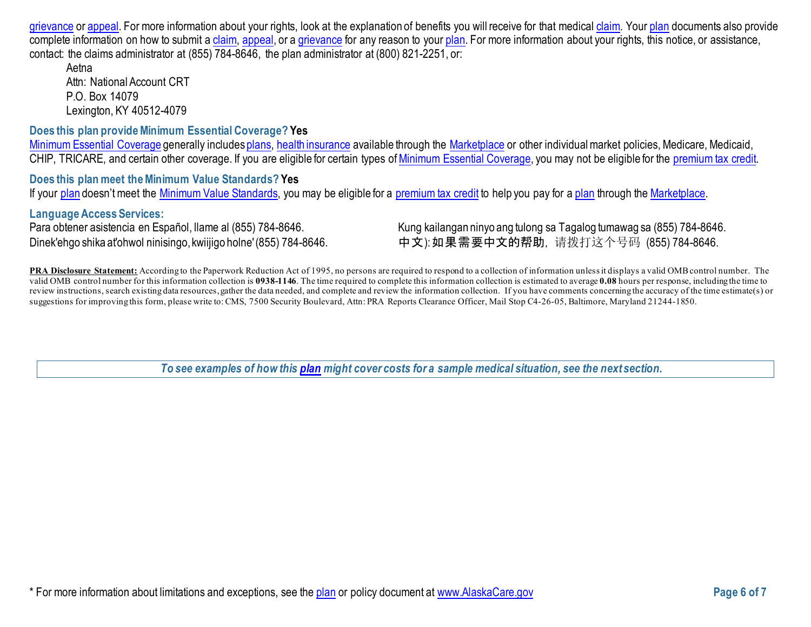[grievance](https://www.healthcare.gov/sbc-glossary/#grievance) o[r appeal.](https://www.healthcare.gov/sbc-glossary/#appeal) For more information about your rights, look at the explanation of benefits you will receive for that medical [claim.](https://www.healthcare.gov/sbc-glossary/#claim) You[r plan](https://www.healthcare.gov/sbc-glossary/#plan) documents also provide complete information on how to submit a [claim,](https://www.healthcare.gov/sbc-glossary/#claim) [appeal,](https://www.healthcare.gov/sbc-glossary/#appeal) or a [grievance](https://www.healthcare.gov/sbc-glossary/#grievance) for any reason to your [plan.](https://www.healthcare.gov/sbc-glossary/#plan) For more information about your rights, this notice, or assistance, contact: the claims administrator at (855) 784-8646, the plan administrator at (800) 821-2251, or:

Aetna Attn: National Account CRT P.O. Box 14079 [Lexington,](http://www.aetna.com/individuals-families-health-insurance/rights-resources/complaints-grievances-appeals/index.html) KY 40512-4079

### **Does this plan provide Minimum Essential Coverage? Yes**

[Minimum Essential Coverage](https://www.healthcare.gov/sbc-glossary/#minimum-essential-coverage) generally include[s plans,](https://www.healthcare.gov/sbc-glossary/#plan) [health insurance](https://www.healthcare.gov/sbc-glossary/#health-insurance) available through the [Marketplace](https://www.healthcare.gov/sbc-glossary/#marketplace) or other individual market policies, Medicare, Medicaid, CHIP, TRICARE, and certain other coverage. If you are eligible for certain types of [Minimum Essential Coverage,](https://www.healthcare.gov/sbc-glossary/#minimum-essential-coverage) you may not be eligible for the [premium tax credit.](https://www.healthcare.gov/sbc-glossary/#premium-tax-credits)

**Does this plan meet the Minimum Value Standards? Yes** If your [plan](https://www.healthcare.gov/sbc-glossary/#plan) doesn't meet the [Minimum Value Standards,](https://www.healthcare.gov/sbc-glossary/#minimum-value-standard) you may be eligible for a [premium tax credit](https://www.healthcare.gov/sbc-glossary/#premium-tax-credits) to help you pay for [a plan](https://www.healthcare.gov/sbc-glossary/#plan) through the [Marketplace.](https://www.healthcare.gov/sbc-glossary/#marketplace)

#### **Language Access Services:**

Para obtener asistencia en Español, Ilame al (855) 784-8646. Kung kailangan ninyo ang tulong sa Tagalog tumawag sa (855) 784-8646. Dinek'ehgo shika at'ohwol ninisingo, kwiijigo holne'(855) 784-8646. 中文): 如果需要中文的帮助, 请拨打这个号码 (855) 784-8646.

**PRA Disclosure Statement:** According to the Paperwork Reduction Act of 1995, no persons are required to respond to a collection of information unless it displays a valid OMB control number. The valid OMB control number for this information collection is **0938-1146**. The time required to complete this information collection is estimated to average **0.08** hours per response, including the time to review instructions, search existing data resources, gather the data needed, and complete and review the information collection. If you have comments concerning the accuracy of the time estimate(s) or suggestions for improving this form, please write to: CMS, 7500 Security Boulevard, Attn: PRA Reports Clearance Officer, Mail Stop C4-26-05, Baltimore, Maryland 21244-1850.

*To see examples of how this [plan](https://www.healthcare.gov/sbc-glossary/#plan) might cover costs for a sample medical situation, see the next section.*